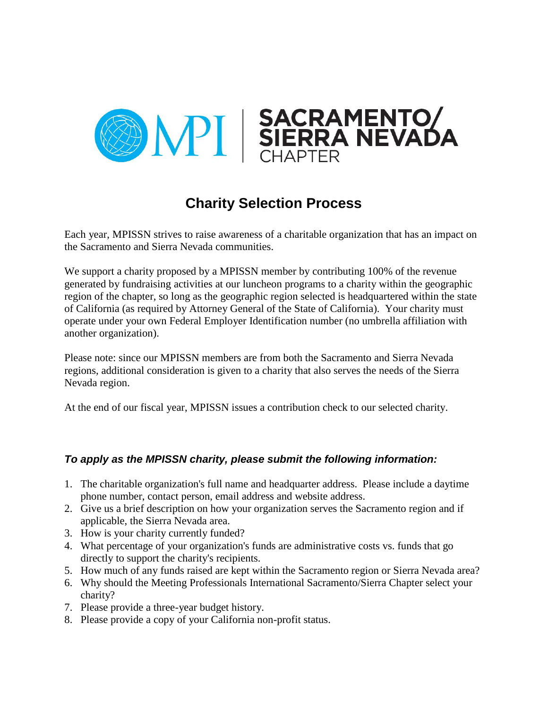

## **Charity Selection Process**

Each year, MPISSN strives to raise awareness of a charitable organization that has an impact on the Sacramento and Sierra Nevada communities.

We support a charity proposed by a MPISSN member by contributing 100% of the revenue generated by fundraising activities at our luncheon programs to a charity within the geographic region of the chapter, so long as the geographic region selected is headquartered within the state of California (as required by Attorney General of the State of California). Your charity must operate under your own Federal Employer Identification number (no umbrella affiliation with another organization).

Please note: since our MPISSN members are from both the Sacramento and Sierra Nevada regions, additional consideration is given to a charity that also serves the needs of the Sierra Nevada region.

At the end of our fiscal year, MPISSN issues a contribution check to our selected charity.

## *To apply as the MPISSN charity, please submit the following information:*

- 1. The charitable organization's full name and headquarter address. Please include a daytime phone number, contact person, email address and website address.
- 2. Give us a brief description on how your organization serves the Sacramento region and if applicable, the Sierra Nevada area.
- 3. How is your charity currently funded?
- 4. What percentage of your organization's funds are administrative costs vs. funds that go directly to support the charity's recipients.
- 5. How much of any funds raised are kept within the Sacramento region or Sierra Nevada area?
- 6. Why should the Meeting Professionals International Sacramento/Sierra Chapter select your charity?
- 7. Please provide a three-year budget history.
- 8. Please provide a copy of your California non-profit status.